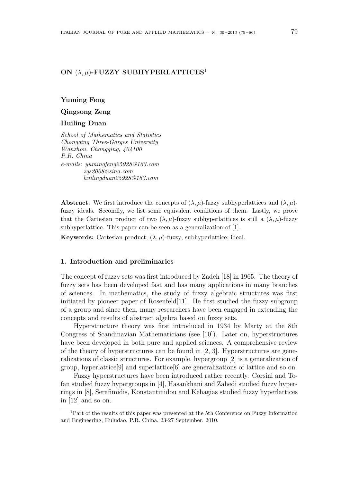# **ON** (*λ, µ*)**-FUZZY SUBHYPERLATTICES**<sup>1</sup>

# **Yuming Feng**

**Qingsong Zeng**

### **Huiling Duan**

*School of Mathematics and Statistics Chongqing Three-Gorges University Wanzhou, Chongqing, 404100 P.R. China e-mails: yumingfeng25928@163.com zqs2008@sina.com huilingduan25928@163.com*

**Abstract.** We first introduce the concepts of  $(\lambda, \mu)$ -fuzzy subhyperlattices and  $(\lambda, \mu)$ fuzzy ideals. Secondly, we list some equivalent conditions of them. Lastly, we prove that the Cartesian product of two  $(\lambda, \mu)$ -fuzzy subhyperlattices is still a  $(\lambda, \mu)$ -fuzzy subhyperlattice. This paper can be seen as a generalization of [1].

**Keywords:** Cartesian product;  $(\lambda, \mu)$ -fuzzy; subhyperlattice; ideal.

#### **1. Introduction and preliminaries**

The concept of fuzzy sets was first introduced by Zadeh [18] in 1965. The theory of fuzzy sets has been developed fast and has many applications in many branches of sciences. In mathematics, the study of fuzzy algebraic structures was first initiated by pioneer paper of Rosenfeld[11]. He first studied the fuzzy subgroup of a group and since then, many researchers have been engaged in extending the concepts and results of abstract algebra based on fuzzy sets.

Hyperstructure theory was first introduced in 1934 by Marty at the 8th Congress of Scandinavian Mathematicians (see [10]). Later on, hyperstructures have been developed in both pure and applied sciences. A comprehensive review of the theory of hyperstructures can be found in [2, 3]. Hyperstructures are generalizations of classic structures. For example, hypergroup [2] is a generalization of group, hyperlattice[9] and superlattice[6] are generalizations of lattice and so on.

Fuzzy hyperstructures have been introduced rather recently. Corsini and Tofan studied fuzzy hypergroups in [4], Hasankhani and Zahedi studied fuzzy hyperrings in [8], Serafimidis, Konstantinidou and Kehagias studied fuzzy hyperlattices in [12] and so on.

<sup>1</sup>Part of the results of this paper was presented at the 5th Conference on Fuzzy Information and Engineering, Huludao, P.R. China, 23-27 September, 2010.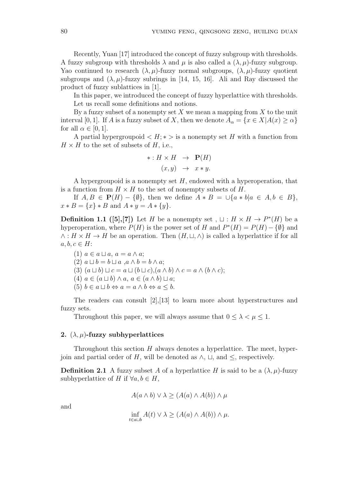Recently, Yuan [17] introduced the concept of fuzzy subgroup with thresholds. A fuzzy subgroup with thresholds  $\lambda$  and  $\mu$  is also called a  $(\lambda, \mu)$ -fuzzy subgroup. Yao continued to research  $(\lambda, \mu)$ -fuzzy normal subgroups,  $(\lambda, \mu)$ -fuzzy quotient subgroups and  $(\lambda, \mu)$ -fuzzy subrings in [14, 15, 16]. Ali and Ray discussed the product of fuzzy sublattices in [1].

In this paper, we introduced the concept of fuzzy hyperlattice with thresholds. Let us recall some definitions and notions.

By a fuzzy subset of a nonempty set *X* we mean a mapping from *X* to the unit interval [0, 1]. If *A* is a fuzzy subset of *X*, then we denote  $A_{\alpha} = \{x \in X | A(x) \ge \alpha\}$ for all  $\alpha \in [0, 1]$ .

A partial hypergroupoid  $\langle H; * \rangle$  is a nonempty set H with a function from  $H \times H$  to the set of subsets of  $H$ , i.e.,

$$
\ast: H \times H \rightarrow \mathbf{P}(H)
$$

$$
(x, y) \rightarrow x * y.
$$

A hypergroupoid is a nonempty set *H*, endowed with a hyperoperation, that is a function from  $H \times H$  to the set of nonempty subsets of  $H$ .

If *A, B* ∈  $P(H) - \{\emptyset\}$ , then we define  $A * B = \bigcup \{a * b | a \in A, b \in B\}$ ,  $x * B = \{x\} * B$  and  $A * y = A * \{y\}.$ 

**Definition 1.1** ([5],[7]) Let *H* be a nonempty set,  $\sqcup$  :  $H \times H \rightarrow P^*(H)$  be a hyperoperation, where  $P(H)$  is the power set of *H* and  $P^*(H) = P(H) - \{\emptyset\}$  and *∧* : *H × H → H* be an operation. Then (*H, ⊔, ∧*) is called a hyperlattice if for all  $a, b, c \in H$ :

 $(1)$   $a \in a \sqcup a$ ,  $a = a \wedge a$ ;  $(2)$   $a \sqcup b = b \sqcup a$  , $a \wedge b = b \wedge a$ ;  $(3)$   $(a \sqcup b) \sqcup c = a \sqcup (b \sqcup c), (a \wedge b) \wedge c = a \wedge (b \wedge c);$  $(4)$   $a \in (a \sqcup b) \land a, a \in (a \land b) \sqcup a;$  $(5)$   $b \in a \sqcup b \Leftrightarrow a = a \land b \Leftrightarrow a \leq b.$ 

The readers can consult [2],[13] to learn more about hyperstructures and fuzzy sets.

Throughout this paper, we will always assume that  $0 \leq \lambda < \mu \leq 1$ .

## **2.**  $(\lambda, \mu)$ -fuzzy subhyperlattices

Throughout this section *H* always denotes a hyperlattice. The meet, hyperjoin and partial order of *H*, will be denoted as  $\land$ ,  $\sqcup$ , and  $\leq$ , respectively.

**Definition 2.1** A fuzzy subset *A* of a hyperlattice *H* is said to be a  $(\lambda, \mu)$ -fuzzy subhyperlattice of *H* if  $\forall a, b \in H$ ,

$$
A(a \wedge b) \vee \lambda \ge (A(a) \wedge A(b)) \wedge \mu
$$

and

$$
\inf_{t \in a \sqcup b} A(t) \vee \lambda \ge (A(a) \wedge A(b)) \wedge \mu.
$$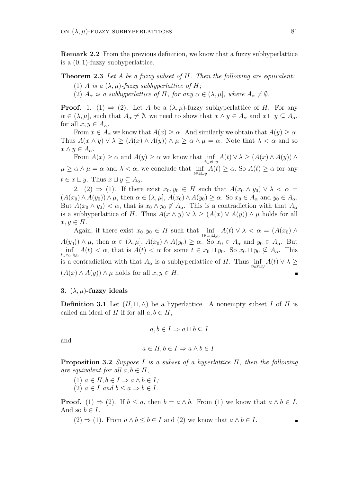**Remark 2.2** From the previous definition, we know that a fuzzy subhyperlattice is a (0*,* 1)-fuzzy subhyperlattice.

# **Theorem 2.3** *Let A be a fuzzy subset of H. Then the following are equivalent:*

- (1) *A is a*  $(\lambda, \mu)$ *-fuzzy subhyperlattice of H*;
- (2)  $A_{\alpha}$  *is a subhyperlattice of*  $H$ *, for any*  $\alpha \in (\lambda, \mu]$ *, where*  $A_{\alpha} \neq \emptyset$ *.*

**Proof.** 1. (1)  $\Rightarrow$  (2). Let *A* be a  $(\lambda, \mu)$ -fuzzy subhyperlattice of *H*. For any  $\alpha \in (\lambda, \mu]$ , such that  $A_{\alpha} \neq \emptyset$ , we need to show that  $x \wedge y \in A_{\alpha}$  and  $x \sqcup y \subseteq A_{\alpha}$ , for all  $x, y \in A_{\alpha}$ .

From  $x \in A_\alpha$  we know that  $A(x) \geq \alpha$ . And similarly we obtain that  $A(y) \geq \alpha$ . Thus  $A(x \wedge y) \vee \lambda \geq (A(x) \wedge A(y)) \wedge \mu \geq \alpha \wedge \mu = \alpha$ . Note that  $\lambda < \alpha$  and so  $x \wedge y \in A_{\alpha}$ .

From  $A(x) \ge \alpha$  and  $A(y) \ge \alpha$  we know that inf *t∈x⊔y*  $A(t) \vee \lambda \geq (A(x) \wedge A(y)) \wedge$  $\mu \geq \alpha \wedge \mu = \alpha$  and  $\lambda < \alpha$ , we conclude that inf *t∈x⊔y*  $A(t) \geq \alpha$ . So  $A(t) \geq \alpha$  for any  $t \in x \sqcup y$ . Thus  $x \sqcup y \subseteq A_{\alpha}$ .

2. (2)  $\Rightarrow$  (1). If there exist  $x_0, y_0 \in H$  such that  $A(x_0 \wedge y_0) \vee \lambda < \alpha$  $(A(x_0) \wedge A(y_0)) \wedge \mu$ , then  $\alpha \in (\lambda, \mu]$ ,  $A(x_0) \wedge A(y_0) \geq \alpha$ . So  $x_0 \in A_\alpha$  and  $y_0 \in A_\alpha$ . But  $A(x_0 \wedge y_0) < \alpha$ , that is  $x_0 \wedge y_0 \notin A_\alpha$ . This is a contradiction with that  $A_\alpha$ is a subhyperlattice of *H*. Thus  $A(x \wedge y) \vee \lambda \geq (A(x) \vee A(y)) \wedge \mu$  holds for all  $x, y \in H$ .

Again, if there exist  $x_0, y_0 \in H$  such that inf  $A(t) \vee \lambda < \alpha = (A(x_0) \wedge$ *t∈x*0*⊔y*<sup>0</sup>  $A(y_0)$   $\wedge \mu$ , then  $\alpha \in (\lambda, \mu]$ ,  $A(x_0) \wedge A(y_0) \geq \alpha$ . So  $x_0 \in A_\alpha$  and  $y_0 \in A_\alpha$ . But inf  $A(t) < \alpha$ , that is  $A(t) < \alpha$  for some  $t \in x_0 \sqcup y_0$ . So  $x_0 \sqcup y_0 \nsubseteq A_\alpha$ . This *t∈x*0*⊔y*<sup>0</sup> is a contradiction with that  $A_{\alpha}$  is a subhyperlattice of *H*. Thus inf  $A(t) \vee \lambda \geq$ *t∈x⊔y*  $(A(x) \land A(y)) \land \mu$  holds for all  $x, y \in H$ . п

# **3.**  $(\lambda, \mu)$ -fuzzy ideals

**Definition 3.1** Let  $(H, \sqcup, \wedge)$  be a hyperlattice. A nonempty subset *I* of *H* is called an ideal of *H* if for all  $a, b \in H$ ,

$$
a,b\in I\Rightarrow a\sqcup b\subseteq I
$$

and

$$
a \in H, b \in I \Rightarrow a \wedge b \in I.
$$

**Proposition 3.2** *Suppose I is a subset of a hyperlattice H, then the following are equivalent for all*  $a, b \in H$ *,* 

- $(1)$   $a \in H, b \in I \Rightarrow a \wedge b \in I;$
- $(2)$   $a \in I$  and  $b \leq a \Rightarrow b \in I$ .

**Proof.** (1)  $\Rightarrow$  (2). If  $b \leq a$ , then  $b = a \land b$ . From (1) we know that  $a \land b \in I$ . And so  $b \in I$ .

 $(2) \Rightarrow (1)$ . From  $a \wedge b \leq b \in I$  and  $(2)$  we know that  $a \wedge b \in I$ .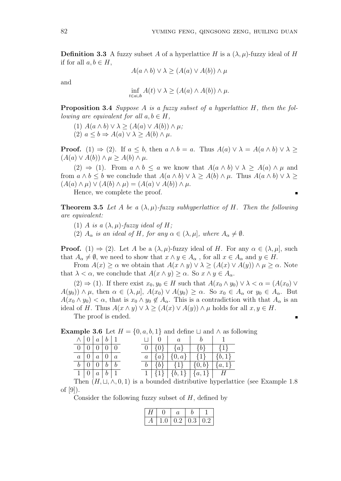٠

**Definition 3.3** A fuzzy subset A of a hyperlattice H is a  $(\lambda, \mu)$ -fuzzy ideal of H if for all  $a, b \in H$ ,

 $A(a \wedge b) \vee \lambda > (A(a) \vee A(b)) \wedge \mu$ 

and

$$
\inf_{t \in a \sqcup b} A(t) \vee \lambda \ge (A(a) \wedge A(b)) \wedge \mu.
$$

**Proposition 3.4** *Suppose A is a fuzzy subset of a hyperlattice H, then the following are equivalent for all*  $a, b \in H$ ,

 $(A)$   $A(a \wedge b) \vee \lambda \geq (A(a) \vee A(b)) \wedge \mu;$  $(2)$   $a < b \Rightarrow A(a) \vee \lambda > A(b) \wedge \mu$ .

**Proof.** (1)  $\Rightarrow$  (2). If  $a \leq b$ , then  $a \wedge b = a$ . Thus  $A(a) \vee \lambda = A(a \wedge b) \vee \lambda \geq$  $(A(a) ∨ A(b)) ∧ μ ≥ A(b) ∧ μ.$ 

 $(2) \Rightarrow (1)$ . From  $a \wedge b \le a$  we know that  $A(a \wedge b) \vee \lambda \ge A(a) \wedge \mu$  and from  $a \wedge b \leq b$  we conclude that  $A(a \wedge b) \vee \lambda \geq A(b) \wedge \mu$ . Thus  $A(a \wedge b) \vee \lambda \geq$  $(A(a) \wedge \mu) \vee (A(b) \wedge \mu) = (A(a) \vee A(b)) \wedge \mu$ .

Hence, we complete the proof.

**Theorem 3.5** Let A be a  $(\lambda, \mu)$ -fuzzy subhyperlattice of H. Then the following *are equivalent:*

- (1) *A is a*  $(\lambda, \mu)$ -fuzzy ideal of *H*;
- (2)  $A_{\alpha}$  *is an ideal of*  $H$ *, for any*  $\alpha \in (\lambda, \mu]$ *, where*  $A_{\alpha} \neq \emptyset$ *.*

**Proof.** (1)  $\Rightarrow$  (2). Let A be a  $(\lambda, \mu)$ -fuzzy ideal of H. For any  $\alpha \in (\lambda, \mu]$ , such that  $A_{\alpha} \neq \emptyset$ , we need to show that  $x \wedge y \in A_{\alpha}$ , for all  $x \in A_{\alpha}$  and  $y \in H$ .

From  $A(x) \ge \alpha$  we obtain that  $A(x \wedge y) \vee \lambda \ge (A(x) \vee A(y)) \wedge \mu \ge \alpha$ . Note that  $\lambda < \alpha$ , we conclude that  $A(x \wedge y) > \alpha$ . So  $x \wedge y \in A_{\alpha}$ .

 $(2) \Rightarrow (1)$ . If there exist  $x_0, y_0 \in H$  such that  $A(x_0 \wedge y_0) \vee \lambda < \alpha = (A(x_0) \vee \lambda)$  $A(y_0)$   $\wedge$   $\mu$ , then  $\alpha \in (\lambda, \mu]$ ,  $A(x_0) \vee A(y_0) \geq \alpha$ . So  $x_0 \in A_\alpha$  or  $y_0 \in A_\alpha$ . But  $A(x_0 \wedge y_0) < \alpha$ , that is  $x_0 \wedge y_0 \notin A_\alpha$ . This is a contradiction with that  $A_\alpha$  is an ideal of *H*. Thus  $A(x \wedge y) \vee \lambda \geq (A(x) \vee A(y)) \wedge \mu$  holds for all  $x, y \in H$ .

The proof is ended.

**Example 3.6** Let  $H = \{0, a, b, 1\}$  and define  $\sqcup$  and  $\land$  as following

|  | $\wedge$   0   a   b   1        |  |  |  | $\Box \begin{array}{c c c c c c} \Box \begin{array}{c c c} 0 & a & b & 1 \end{array} \end{array}$ |  |
|--|---------------------------------|--|--|--|---------------------------------------------------------------------------------------------------|--|
|  | 0 0 0 0 0                       |  |  |  | $\boxed{0}$ {0} {a}   {b}   {1}                                                                   |  |
|  | $a \mid 0 \mid a \mid 0 \mid a$ |  |  |  | $a   \{a\}   \{0,a\}   \{1\}   \{b,1\}$                                                           |  |
|  | $b \mid 0 \mid 0 \mid b \mid b$ |  |  |  | $b   \{b\}   \{1\}   \{0,b\}   \{a,1\}$                                                           |  |
|  | 1   0   a   b   1               |  |  |  | $1   \{1\}   \{b,1\}   \{a,1\}   H$                                                               |  |

Then  $(H, \sqcup, \wedge, 0, 1)$  is a bounded distributive hyperlattice (see Example 1.8) of [9]).

Consider the following fuzzy subset of *H*, defined by

| 1.0 | $\vert 0.2 \vert 0.3 \vert 0.2$ |  |
|-----|---------------------------------|--|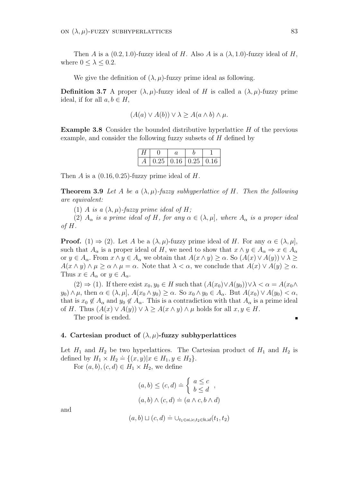Then *A* is a  $(0.2, 1.0)$ -fuzzy ideal of *H*. Also *A* is a  $(\lambda, 1.0)$ -fuzzy ideal of *H*, where  $0 \leq \lambda \leq 0.2$ .

We give the definition of  $(\lambda, \mu)$ -fuzzy prime ideal as following.

**Definition 3.7** A proper  $(\lambda, \mu)$ -fuzzy ideal of *H* is called a  $(\lambda, \mu)$ -fuzzy prime ideal, if for all  $a, b \in H$ ,

$$
(A(a) \lor A(b)) \lor \lambda \ge A(a \land b) \land \mu.
$$

**Example 3.8** Consider the bounded distributive hyperlattice *H* of the previous example, and consider the following fuzzy subsets of *H* defined by

|  | $0.25 \mid 0.16 \mid 0.25 \mid 0.16 \mid$ |  |
|--|-------------------------------------------|--|

Then *A* is a (0*.*16*,* 0*.*25)-fuzzy prime ideal of *H*.

**Theorem 3.9** Let A be a  $(\lambda, \mu)$ -fuzzy subhyperlattice of H. Then the following *are equivalent:*

(1) *A is a*  $(\lambda, \mu)$ -fuzzy prime ideal of H;

(2)  $A_{\alpha}$  *is a prime ideal of*  $H$ *, for any*  $\alpha \in (\lambda, \mu]$ *, where*  $A_{\alpha}$  *is a proper ideal of H.*

**Proof.** (1)  $\Rightarrow$  (2). Let A be a  $(\lambda, \mu)$ -fuzzy prime ideal of H. For any  $\alpha \in (\lambda, \mu]$ , such that  $A_{\alpha}$  is a proper ideal of *H*, we need to show that  $x \wedge y \in A_{\alpha} \Rightarrow x \in A_{\alpha}$ or  $y \in A_{\alpha}$ . From  $x \wedge y \in A_{\alpha}$  we obtain that  $A(x \wedge y) \geq \alpha$ . So  $(A(x) \vee A(y)) \vee \lambda \geq$  $A(x \wedge y) \wedge \mu \ge \alpha \wedge \mu = \alpha$ . Note that  $\lambda < \alpha$ , we conclude that  $A(x) \vee A(y) \ge \alpha$ . Thus  $x \in A_{\alpha}$  or  $y \in A_{\alpha}$ .

 $(2) \Rightarrow (1)$ . If there exist  $x_0, y_0 \in H$  such that  $(A(x_0) \vee A(y_0)) \vee \lambda < \alpha = A(x_0 \wedge$  $y_0 \wedge \mu$ , then  $\alpha \in (\lambda, \mu]$ ,  $A(x_0 \wedge y_0) \ge \alpha$ . So  $x_0 \wedge y_0 \in A_\alpha$ . But  $A(x_0) \vee A(y_0) < \alpha$ , that is  $x_0 \notin A_\alpha$  and  $y_0 \notin A_\alpha$ . This is a contradiction with that  $A_\alpha$  is a prime ideal of *H*. Thus  $(A(x) \vee A(y)) \vee \lambda \geq A(x \wedge y) \wedge \mu$  holds for all  $x, y \in H$ .

The proof is ended.

#### **4. Cartesian product of** (*λ, µ*)**-fuzzy subhyperlattices**

Let  $H_1$  and  $H_2$  be two hyperlattices. The Cartesian product of  $H_1$  and  $H_2$  is  $\det(\text{H}_1 \times H_2) \leq \det(\text{H}_2 \times H_1) \leq \det(\text{H}_1, y \in H_2).$ 

For  $(a, b)$ ,  $(c, d) \in H_1 \times H_2$ , we define

$$
(a, b) \le (c, d) \doteq \begin{cases} a \le c \\ b \le d \end{cases},
$$

$$
(a, b) \wedge (c, d) \doteq (a \wedge c, b \wedge d)
$$

and

$$
(a,b) \sqcup (c,d) \doteq \bigcup_{t_1 \in a \sqcup c, t_2 \in b \sqcup d}(t_1,t_2)
$$

п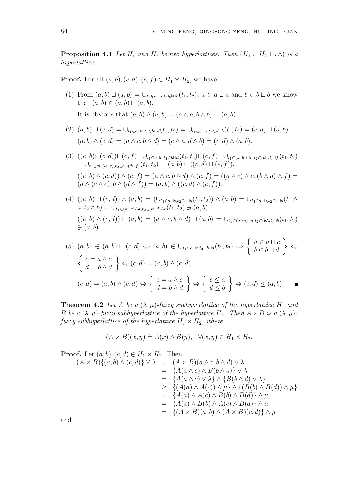**Proposition 4.1** *Let*  $H_1$  *and*  $H_2$  *be two hyperlattices. Then*  $(H_1 \times H_2, \sqcup, \wedge)$  *is a hyperlattice.*

**Proof.** For all  $(a, b)$ ,  $(c, d)$ ,  $(e, f) \in H_1 \times H_2$ , we have

- (1) From  $(a,b) \sqcup (a,b) = \bigcup_{t_1 \in a \sqcup a, t_2 \in b \sqcup b}(t_1,t_2), a \in a \sqcup a$  and  $b \in b \sqcup b$  we know that  $(a, b) \in (a, b) \sqcup (a, b)$ . It is obvious that  $(a, b) \wedge (a, b) = (a \wedge a, b \wedge b) = (a, b)$ .
- (2)  $(a, b) \sqcup (c, d) = \bigcup_{t_1 \in a \sqcup c, t_2 \in b \sqcup d}(t_1, t_2) = \bigcup_{t_1 \in c \sqcup a, t_2 \in d \sqcup b}(t_1, t_2) = (c, d) \sqcup (a, b).$  $(a, b) \wedge (c, d) = (a \wedge c, b \wedge d) = (c \wedge a, d \wedge b) = (c, d) \wedge (a, b).$
- $(3)\ \ ((a,b)\sqcup (c,d))\sqcup (e,f)=\cup_{t_{1}\in a\sqcup c, t_{2}\in b\sqcup d}(t_{1},t_{2})\sqcup (e,f)=\cup_{t_{1}\in (a\sqcup c)\sqcup e, t_{2}\in (b\sqcup d)\sqcup f}(t_{1},t_{2})$  $= \bigcup_{t_1 \in a \sqcup (c \sqcup e), t_2 \in b \sqcup (d \sqcup f)} (t_1, t_2) = (a, b) \sqcup ((c, d) \sqcup (e, f)).$  $((a,b)\wedge(c,d))\wedge(e,f)=(a\wedge c,b\wedge d)\wedge(e,f)=((a\wedge c)\wedge e,(b\wedge d)\wedge f)=$  $(a \land (c \land e), b \land (d \land f)) = (a, b) \land ((c, d) \land (e, f)).$
- $(4) ((a, b) \sqcup (c, d)) \wedge (a, b) = (\cup_{t_1 \in a \sqcup c, t_2 \in b \sqcup d}(t_1, t_2)) \wedge (a, b) = \cup_{t_1 \in a \sqcup c, t_2 \in b \sqcup d}(t_1 \wedge b)$  $a, t_2 \wedge b$ ) =  $\bigcup_{t_1 \in (a \sqcup c) \wedge a, t_2 \in (b \sqcup d) \wedge b}(t_1, t_2)$   $\ni$   $(a, b)$ .  $((a, b) \wedge (c, d)) \sqcup (a, b) = (a \wedge c, b \wedge d) \sqcup (a, b) = \bigcup_{t_1 \in (a \wedge c) \sqcup a, t_2 \in (b \wedge d) \sqcup b}(t_1, t_2)$ *∋* (*a, b*)*.*

$$
(5) (a, b) \in (a, b) \sqcup (c, d) \Leftrightarrow (a, b) \in \bigcup_{t_1 \in a \sqcup c, t_2 \in b \sqcup d}(t_1, t_2) \Leftrightarrow \left\{ a \in a \sqcup c \atop b \in b \sqcup d \right\} \Leftrightarrow
$$
  

$$
\left\{ c = a \land c \atop d = b \land d \right\} \Leftrightarrow (c, d) = (a, b) \land (c, d).
$$
  

$$
(c, d) = (a, b) \land (c, d) \Leftrightarrow \left\{ c = a \land c \atop d = b \land d \right\} \Leftrightarrow \left\{ c \le a \atop d \le b \right\} \Leftrightarrow (c, d) \le (a, b).
$$

**Theorem 4.2** Let A be a  $(\lambda, \mu)$ -fuzzy subhyperlattice of the hyperlattice  $H_1$  and *B be a*  $(\lambda, \mu)$ *-fuzzy subhyperlattice of the hyperlattice*  $H_2$ *. Then*  $A \times B$  *is a*  $(\lambda, \mu)$ *fuzzy subhyperlattice of the hyperlattice*  $H_1 \times H_2$ *, where* 

$$
(A \times B)(x, y) \doteq A(x) \wedge B(y), \quad \forall (x, y) \in H_1 \times H_2.
$$

**Proof.** Let  $(a, b)$ ,  $(c, d) \in H_1 \times H_2$ . Then

$$
(A \times B)\{(a,b) \land (c,d)\} \vee \lambda = (A \times B)(a \land c, b \land d) \vee \lambda
$$
  
\n
$$
= \{A(a \land c) \land B(b \land d)\} \vee \lambda
$$
  
\n
$$
= \{A(a \land c) \lor \lambda\} \land \{B(b \land d) \lor \lambda\}
$$
  
\n
$$
\geq \{(A(a) \land A(c)) \land \mu\} \land \{(B(b) \land B(d)) \land \mu\}
$$
  
\n
$$
= \{A(a) \land A(c) \land B(b) \land B(d)\} \land \mu
$$
  
\n
$$
= \{A(a) \land B(b) \land A(c) \land B(d)\} \land \mu
$$
  
\n
$$
= \{(A \times B)(a,b) \land (A \times B)(c,d)\} \land \mu
$$

and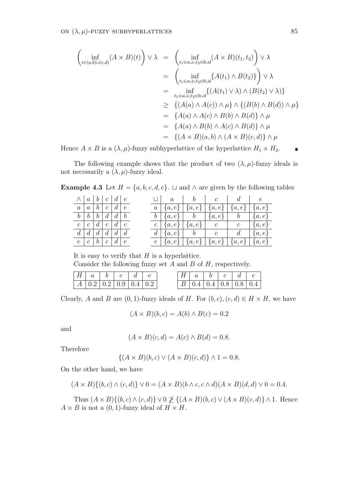$$
\begin{aligned}\n\left(\inf_{t \in (a,b)\sqcup (c,d)} (A \times B)(t)\right) \vee \lambda &= \left(\inf_{t_1 \in a \sqcup c, t_2 \in b \sqcup d} (A \times B)(t_1, t_2)\right) \vee \lambda \\
&= \left(\inf_{t_1 \in a \sqcup c, t_2 \in b \sqcup d} \{A(t_1) \wedge B(t_2)\}\right) \vee \lambda \\
&= \inf_{t_1 \in a \sqcup c, t_2 \in b \sqcup d} \{(A(t_1) \vee \lambda) \wedge (B(t_2) \vee \lambda)\} \\
&\geq \{(A(a) \wedge A(c)) \wedge \mu\} \wedge \{(B(b) \wedge B(d)) \wedge \mu\} \\
&= \{A(a) \wedge A(c) \wedge B(b) \wedge B(d)\} \wedge \mu \\
&= \{(A \times B)(a,b) \wedge (A \times B)(c,d)\} \wedge \mu\n\end{aligned}
$$

Hence  $A \times B$  is a  $(\lambda, \mu)$ -fuzzy subhyperlattice of the hyperlattice  $H_1 \times H_2$ .

The following example shows that the product of two  $(\lambda, \mu)$ -fuzzy ideals is not necessarily a  $(\lambda, \mu)$ -fuzzy ideal.

**Example 4.3** Let  $H = \{a, b, c, d, e\}$ . *⊔* and  $\wedge$  are given by the following tables

| $\wedge$                      |                           |                   | a b c d e                               |            |  | $\mathfrak a$                                           | $\mathcal{D}$ | $\overline{c}$ |                | e         |
|-------------------------------|---------------------------|-------------------|-----------------------------------------|------------|--|---------------------------------------------------------|---------------|----------------|----------------|-----------|
| $\overline{a}$                | $\overline{a}$            |                   | $b \mid c \mid$                         | $d \mid e$ |  | $a   \{a,e\}   \{a,e\}   \{a,e\}   \{a,e\}$             |               |                |                | $\{a,e\}$ |
| b <sub>1</sub>                | $\boldsymbol{b}$          | $\mathfrak{b}$    | $\lfloor d \rfloor d \lfloor b \rfloor$ |            |  | $b \mid \{a,e\} \mid b \mid \{a,e\} \mid b$             |               |                |                | $\{a,e\}$ |
| $c-1$                         | $^{\circ}$ $c$ $_{\circ}$ |                   | $d\mid c\mid$                           | d c        |  | $c \mid \{a, e\} \mid \{a, e\} \mid c$                  |               |                | $\mathcal{C}$  | $\{a,e\}$ |
| $d_{-}$                       | d                         | $d_{\mathcal{C}}$ | d                                       | $d \mid d$ |  | $d \mid \{a,e\} \mid b$                                 |               | $\mathcal{C}$  | $\mathfrak{a}$ | $\{a,e\}$ |
| $e \mid e \mid b \mid c \mid$ |                           |                   |                                         | $d \mid e$ |  | $e   \{a,e\}   \{a,e\}   \{a,e\}   \{a,e\}   \{a,e\}  $ |               |                |                |           |

It is easy to verify that *H* is a hyperlattice. Consider the following fuzzy set *A* and *B* of *H*, respectively.

| $H \mid a \mid b \mid c \mid d \mid$             |  |  |  | $H \begin{array}{ c c c c c c } \hline A & b & c & d \end{array}$ |                                                       |  |
|--------------------------------------------------|--|--|--|-------------------------------------------------------------------|-------------------------------------------------------|--|
| $A \mid 0.2 \mid 0.2 \mid 0.9 \mid 0.4 \mid 0.2$ |  |  |  |                                                                   | $\mid B \mid 0.4 \mid 0.4 \mid 0.8 \mid 0.8 \mid 0.4$ |  |

Clearly, *A* and *B* are  $(0, 1)$ -fuzzy ideals of *H*. For  $(b, c)$ ,  $(c, d) \in H \times H$ , we have

$$
(A \times B)(b, c) = A(b) \wedge B(c) = 0.2
$$

and

$$
(A \times B)(c, d) = A(c) \wedge B(d) = 0.8.
$$

Therefore

$$
\{(A \times B)(b,c) \lor (A \times B)(c,d)\} \land 1 = 0.8.
$$

On the other hand, we have

$$
(A \times B)\{(b,c) \land (c,d)\} \lor 0 = (A \times B)(b \land c, c \land d)(A \times B)(d,d) \lor 0 = 0.4.
$$

Thus  $(A \times B) \{(b, c) \land (c, d)\} \lor 0 \not\geq \{(A \times B)(b, c) \lor (A \times B)(c, d)\} \land 1$ . Hence  $A \times B$  is not a  $(0, 1)$ -fuzzy ideal of  $H \times H$ .